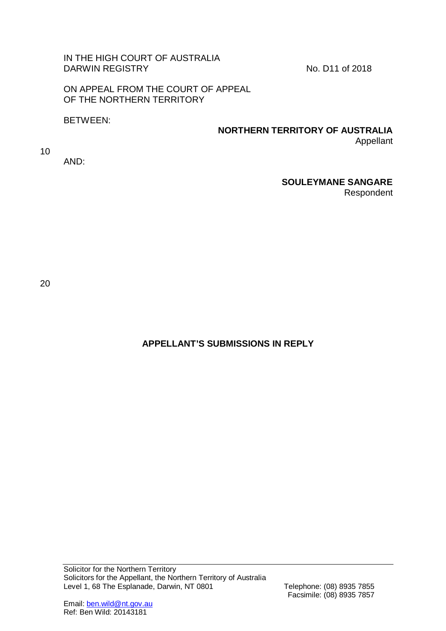## IN THE HIGH COURT OF AUSTRALIA DARWIN REGISTRY No. D11 of 2018

ON APPEAL FROM THE COURT OF APPEAL OF THE NORTHERN TERRITORY

BETWEEN:

#### **NORTHERN TERRITORY OF AUSTRALIA** Appellant

10

AND:

## **SOULEYMANE SANGARE**

Respondent

20

# **APPELLANT'S SUBMISSIONS IN REPLY**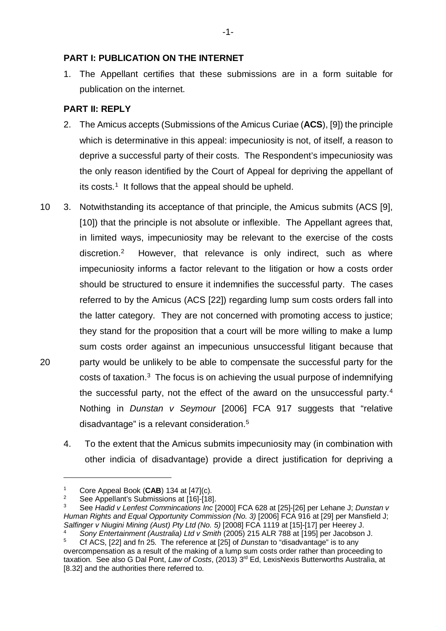## **PART I: PUBLICATION ON THE INTERNET**

1. The Appellant certifies that these submissions are in a form suitable for publication on the internet.

## **PART II: REPLY**

- 2. The Amicus accepts (Submissions of the Amicus Curiae (**ACS**), [9]) the principle which is determinative in this appeal: impecuniosity is not, of itself, a reason to deprive a successful party of their costs. The Respondent's impecuniosity was the only reason identified by the Court of Appeal for depriving the appellant of its costs.<sup>1</sup> It follows that the appeal should be upheld.
- 10 3. Notwithstanding its acceptance of that principle, the Amicus submits (ACS [9], [10]) that the principle is not absolute or inflexible. The Appellant agrees that, in limited ways, impecuniosity may be relevant to the exercise of the costs discretion.[2](#page-1-1) However, that relevance is only indirect, such as where impecuniosity informs a factor relevant to the litigation or how a costs order should be structured to ensure it indemnifies the successful party. The cases referred to by the Amicus (ACS [22]) regarding lump sum costs orders fall into the latter category. They are not concerned with promoting access to justice; they stand for the proposition that a court will be more willing to make a lump sum costs order against an impecunious unsuccessful litigant because that 20 party would be unlikely to be able to compensate the successful party for the costs of taxation.[3](#page-1-2) The focus is on achieving the usual purpose of indemnifying the successful party, not the effect of the award on the unsuccessful party.[4](#page-1-3) Nothing in *Dunstan v Seymour* [2006] FCA 917 suggests that "relative disadvantage" is a relevant consideration[.5](#page-1-4)
	- 4. To the extent that the Amicus submits impecuniosity may (in combination with other indicia of disadvantage) provide a direct justification for depriving a

<span id="page-1-1"></span><span id="page-1-0"></span><sup>1</sup> Core Appeal Book (**CAB**) 134 at [47](c).

See Appellant's Submissions at [16]-[18].

<span id="page-1-2"></span><sup>3</sup> See *Hadid v Lenfest Commincations Inc* [2000] FCA 628 at [25]-[26] per Lehane J; *Dunstan v Human Rights and Equal Opportunity Commission (No. 3)* [2006] FCA 916 at [29] per Mansfield J; *Salfinger v Niugini Mining (Aust) Pty Ltd (No. 5)* [2008] FCA 1119 at [15]-[17] per Heerey J.

<span id="page-1-4"></span><span id="page-1-3"></span><sup>4</sup> *Sony Entertainment (Australia) Ltd v Smith* (2005) 215 ALR 788 at [195] per Jacobson J. <sup>5</sup> Cf ACS, [22] and fn 25. The reference at [25] of *Dunstan* to "disadvantage" is to any overcompensation as a result of the making of a lump sum costs order rather than proceeding to taxation. See also G Dal Pont, *Law of Costs*, (2013) 3rd Ed, LexisNexis Butterworths Australia, at [8.32] and the authorities there referred to.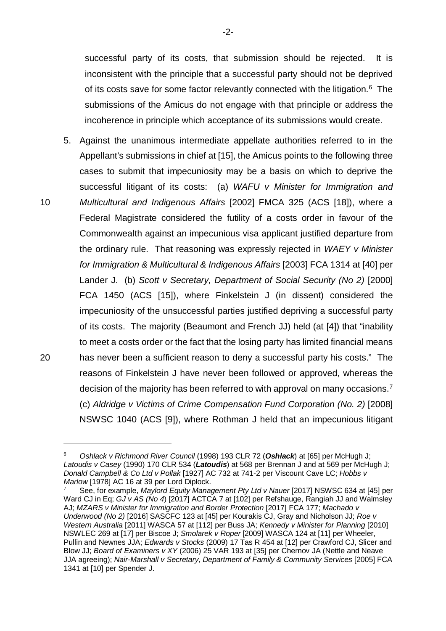successful party of its costs, that submission should be rejected. It is inconsistent with the principle that a successful party should not be deprived of its costs save for some factor relevantly connected with the litigation.<sup>6</sup> The submissions of the Amicus do not engage with that principle or address the incoherence in principle which acceptance of its submissions would create.

<span id="page-2-2"></span>5. Against the unanimous intermediate appellate authorities referred to in the Appellant's submissions in chief at [15], the Amicus points to the following three cases to submit that impecuniosity may be a basis on which to deprive the successful litigant of its costs: (a) *WAFU v Minister for Immigration and*  10 *Multicultural and Indigenous Affairs* [2002] FMCA 325 (ACS [18]), where a Federal Magistrate considered the futility of a costs order in favour of the Commonwealth against an impecunious visa applicant justified departure from the ordinary rule. That reasoning was expressly rejected in *WAEY v Minister for Immigration & Multicultural & Indigenous Affairs* [2003] FCA 1314 at [40] per Lander J. (b) *Scott v Secretary, Department of Social Security (No 2)* [2000] FCA 1450 (ACS [15]), where Finkelstein J (in dissent) considered the impecuniosity of the unsuccessful parties justified depriving a successful party of its costs. The majority (Beaumont and French JJ) held (at [4]) that "inability to meet a costs order or the fact that the losing party has limited financial means 20 has never been a sufficient reason to deny a successful party his costs." The reasons of Finkelstein J have never been followed or approved, whereas the decision of the majority has been referred to with approval on many occasions.[7](#page-2-1) (c) *Aldridge v Victims of Crime Compensation Fund Corporation (No. 2)* [2008] NSWSC 1040 (ACS [9]), where Rothman J held that an impecunious litigant

<span id="page-2-0"></span><sup>6</sup> *Oshlack v Richmond River Council* (1998) 193 CLR 72 (*Oshlack*) at [65] per McHugh J; *Latoudis v Casey* (1990) 170 CLR 534 (*Latoudis*) at 568 per Brennan J and at 569 per McHugh J; *Donald Campbell & Co Ltd v Pollak* [1927] AC 732 at 741-2 per Viscount Cave LC; *Hobbs v* 

<span id="page-2-1"></span>*Marlow* [1978] AC 16 at 39 per Lord Diplock. 7 See, for example, *Maylord Equity Management Pty Ltd v Nauer* [2017] NSWSC 634 at [45] per Ward CJ in Eq; *GJ v AS (No 4*) [2017] ACTCA 7 at [102] per Refshauge, Rangiah JJ and Walmsley AJ; *MZARS v Minister for Immigration and Border Protection* [2017] FCA 177; *Machado v Underwood (No 2)* [2016] SASCFC 123 at [45] per Kourakis CJ, Gray and Nicholson JJ; *Roe v Western Australia* [2011] WASCA 57 at [112] per Buss JA; *Kennedy v Minister for Planning* [2010] NSWLEC 269 at [17] per Biscoe J; *Smolarek v Roper* [2009] WASCA 124 at [11] per Wheeler, Pullin and Newnes JJA; *Edwards v Stocks* (2009) 17 Tas R 454 at [12] per Crawford CJ, Slicer and Blow JJ; *Board of Examiners v XY* (2006) 25 VAR 193 at [35] per Chernov JA (Nettle and Neave JJA agreeing); *Nair-Marshall v Secretary, Department of Family & Community Services* [2005] FCA 1341 at [10] per Spender J.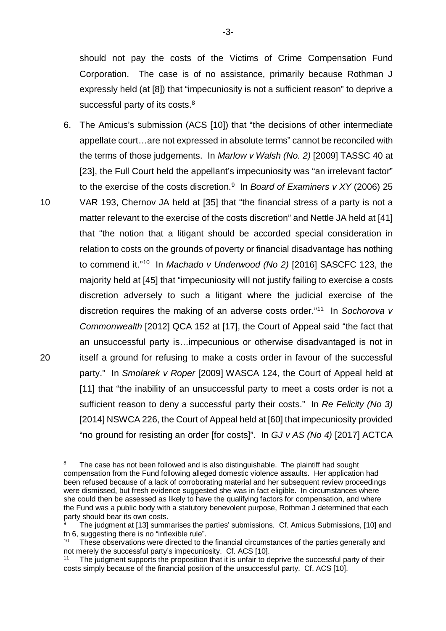should not pay the costs of the Victims of Crime Compensation Fund Corporation. The case is of no assistance, primarily because Rothman J expressly held (at [8]) that "impecuniosity is not a sufficient reason" to deprive a successful party of its costs.<sup>[8](#page-3-0)</sup>

6. The Amicus's submission (ACS [10]) that "the decisions of other intermediate appellate court…are not expressed in absolute terms" cannot be reconciled with the terms of those judgements. In *Marlow v Walsh (No. 2)* [2009] TASSC 40 at [23], the Full Court held the appellant's impecuniosity was "an irrelevant factor" to the exercise of the costs discretion.<sup>9</sup> In *Board of Examiners v XY* (2006) 25 10 VAR 193, Chernov JA held at [35] that "the financial stress of a party is not a matter relevant to the exercise of the costs discretion" and Nettle JA held at [41] that "the notion that a litigant should be accorded special consideration in relation to costs on the grounds of poverty or financial disadvantage has nothing to commend it."[10](#page-3-2) In *Machado v Underwood (No 2)* [2016] SASCFC 123, the majority held at [45] that "impecuniosity will not justify failing to exercise a costs discretion adversely to such a litigant where the judicial exercise of the discretion requires the making of an adverse costs order."[11](#page-3-3) In *Sochorova v Commonwealth* [2012] QCA 152 at [17], the Court of Appeal said "the fact that an unsuccessful party is…impecunious or otherwise disadvantaged is not in 20 itself a ground for refusing to make a costs order in favour of the successful party." In *Smolarek v Roper* [2009] WASCA 124, the Court of Appeal held at [11] that "the inability of an unsuccessful party to meet a costs order is not a sufficient reason to deny a successful party their costs." In *Re Felicity (No 3)* [2014] NSWCA 226, the Court of Appeal held at [60] that impecuniosity provided "no ground for resisting an order [for costs]". In *GJ v AS (No 4)* [2017] ACTCA

<span id="page-3-0"></span>The case has not been followed and is also distinguishable. The plaintiff had sought compensation from the Fund following alleged domestic violence assaults. Her application had been refused because of a lack of corroborating material and her subsequent review proceedings were dismissed, but fresh evidence suggested she was in fact eligible. In circumstances where she could then be assessed as likely to have the qualifying factors for compensation, and where the Fund was a public body with a statutory benevolent purpose, Rothman J determined that each party should bear its own costs.

<span id="page-3-1"></span>The judgment at [13] summarises the parties' submissions. Cf. Amicus Submissions, [10] and fn 6, suggesting there is no "inflexible rule".

<span id="page-3-2"></span>These observations were directed to the financial circumstances of the parties generally and not merely the successful party's impecuniosity. Cf. ACS [10].

<span id="page-3-3"></span><sup>&</sup>lt;sup>11</sup> The judgment supports the proposition that it is unfair to deprive the successful party of their costs simply because of the financial position of the unsuccessful party. Cf. ACS [10].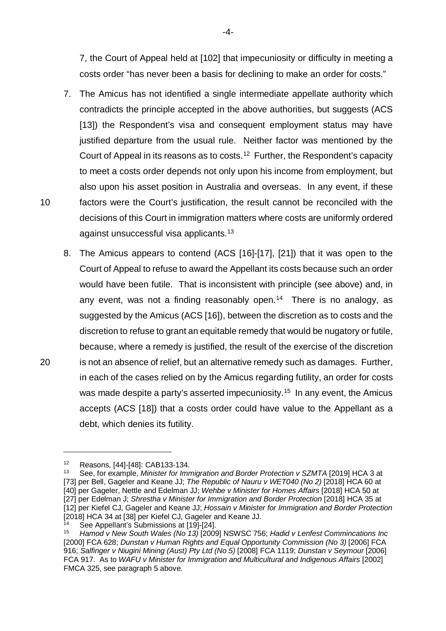7, the Court of Appeal held at [102] that impecuniosity or difficulty in meeting a costs order "has never been a basis for declining to make an order for costs."

- 7. The Amicus has not identified a single intermediate appellate authority which contradicts the principle accepted in the above authorities, but suggests (ACS [13]) the Respondent's visa and consequent employment status may have justified departure from the usual rule. Neither factor was mentioned by the Court of Appeal in its reasons as to costs. [12](#page-4-0) Further, the Respondent's capacity to meet a costs order depends not only upon his income from employment, but also upon his asset position in Australia and overseas. In any event, if these 10 factors were the Court's justification, the result cannot be reconciled with the decisions of this Court in immigration matters where costs are uniformly ordered against unsuccessful visa applicants.[13](#page-4-1)
- 8. The Amicus appears to contend (ACS [16]-[17], [21]) that it was open to the Court of Appeal to refuse to award the Appellant its costs because such an order would have been futile. That is inconsistent with principle (see above) and, in any event, was not a finding reasonably open. [14](#page-4-2) There is no analogy, as suggested by the Amicus (ACS [16]), between the discretion as to costs and the discretion to refuse to grant an equitable remedy that would be nugatory or futile, because, where a remedy is justified, the result of the exercise of the discretion 20 is not an absence of relief, but an alternative remedy such as damages. Further, in each of the cases relied on by the Amicus regarding futility, an order for costs was made despite a party's asserted impecuniosity.<sup>15</sup> In any event, the Amicus accepts (ACS [18]) that a costs order could have value to the Appellant as a debt, which denies its futility.

<sup>&</sup>lt;sup>12</sup> Reasons,  $[44]$ - $[48]$ : CAB133-134.<br><sup>13</sup> See for example. *Minister for Imp* 

<span id="page-4-1"></span><span id="page-4-0"></span><sup>13</sup> See, for example, *Minister for Immigration and Border Protection v SZMTA* [2019] HCA 3 at [73] per Bell, Gageler and Keane JJ; *The Republic of Nauru v WET040 (No 2)* [2018] HCA 60 at [40] per Gageler, Nettle and Edelman JJ; *Wehbe v Minister for Homes Affairs* [2018] HCA 50 at [27] per Edelman J; *Shrestha v Minister for Immigration and Border Protection* [2018] HCA 35 at [12] per Kiefel CJ, Gageler and Keane JJ; *Hossain v Minister for Immigration and Border Protection*  [2018] HCA 34 at [38] per Kiefel CJ, Gageler and Keane JJ.

 $\frac{14}{15}$  See Appellant's Submissions at [19]-[24].

<span id="page-4-3"></span><span id="page-4-2"></span><sup>15</sup> *Hamod v New South Wales (No 13)* [2009] NSWSC 756; *Hadid v Lenfest Commincations Inc*  [2000] FCA 628; *Dunstan v Human Rights and Equal Opportunity Commission (No 3)* [2006] FCA 916; *Salfinger v Niugini Mining (Aust) Pty Ltd (No 5)* [2008] FCA 1119; *Dunstan v Seymour* [2006] FCA 917. As to *WAFU v Minister for Immigration and Multicultural and Indigenous Affairs* [2002] FMCA 325, see paragraph [5](#page-2-2) above.